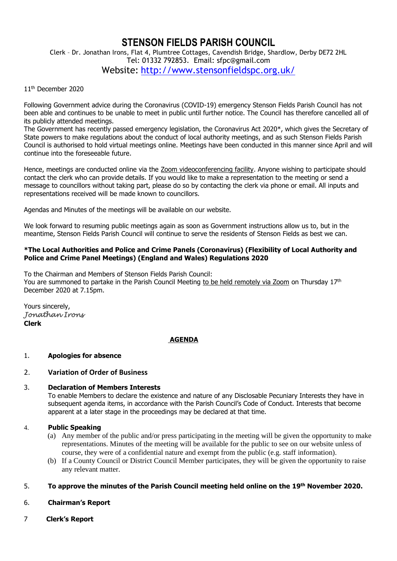# **STENSON FIELDS PARISH COUNCIL**

Clerk – Dr. Jonathan Irons, Flat 4, Plumtree Cottages, Cavendish Bridge, Shardlow, Derby DE72 2HL Tel: 01332 792853. Email: sfpc@gmail.com Website: <http://www.stensonfieldspc.org.uk/>

#### 11th December 2020

Following Government advice during the Coronavirus (COVID-19) emergency Stenson Fields Parish Council has not been able and continues to be unable to meet in public until further notice. The Council has therefore cancelled all of its publicly attended meetings.

The Government has recently passed emergency legislation, the Coronavirus Act 2020\*, which gives the Secretary of State powers to make regulations about the conduct of local authority meetings, and as such Stenson Fields Parish Council is authorised to hold virtual meetings online. Meetings have been conducted in this manner since April and will continue into the foreseeable future.

Hence, meetings are conducted online via the Zoom videoconferencing facility. Anyone wishing to participate should contact the clerk who can provide details. If you would like to make a representation to the meeting or send a message to councillors without taking part, please do so by contacting the clerk via phone or email. All inputs and representations received will be made known to councillors.

Agendas and Minutes of the meetings will be available on our website.

We look forward to resuming public meetings again as soon as Government instructions allow us to, but in the meantime, Stenson Fields Parish Council will continue to serve the residents of Stenson Fields as best we can.

#### **\*The Local Authorities and Police and Crime Panels (Coronavirus) (Flexibility of Local Authority and Police and Crime Panel Meetings) (England and Wales) Regulations 2020**

To the Chairman and Members of Stenson Fields Parish Council: You are summoned to partake in the Parish Council Meeting to be held remotely via Zoom on Thursday 17<sup>th</sup> December 2020 at 7.15pm.

Yours sincerely, *Jonathan Irons*  **Clerk**

#### **AGENDA**

#### 1. **Apologies for absence**

### 2. **Variation of Order of Business**

#### 3. **Declaration of Members Interests**

To enable Members to declare the existence and nature of any Disclosable Pecuniary Interests they have in subsequent agenda items, in accordance with the Parish Council's Code of Conduct. Interests that become apparent at a later stage in the proceedings may be declared at that time.

### 4. **Public Speaking**

- (a) Any member of the public and/or press participating in the meeting will be given the opportunity to make representations. Minutes of the meeting will be available for the public to see on our website unless of course, they were of a confidential nature and exempt from the public (e.g. staff information).
- (b) If a County Council or District Council Member participates, they will be given the opportunity to raise any relevant matter.

### 5. **To approve the minutes of the Parish Council meeting held online on the 19th November 2020.**

- 6. **Chairman's Report**
- 7 **Clerk's Report**